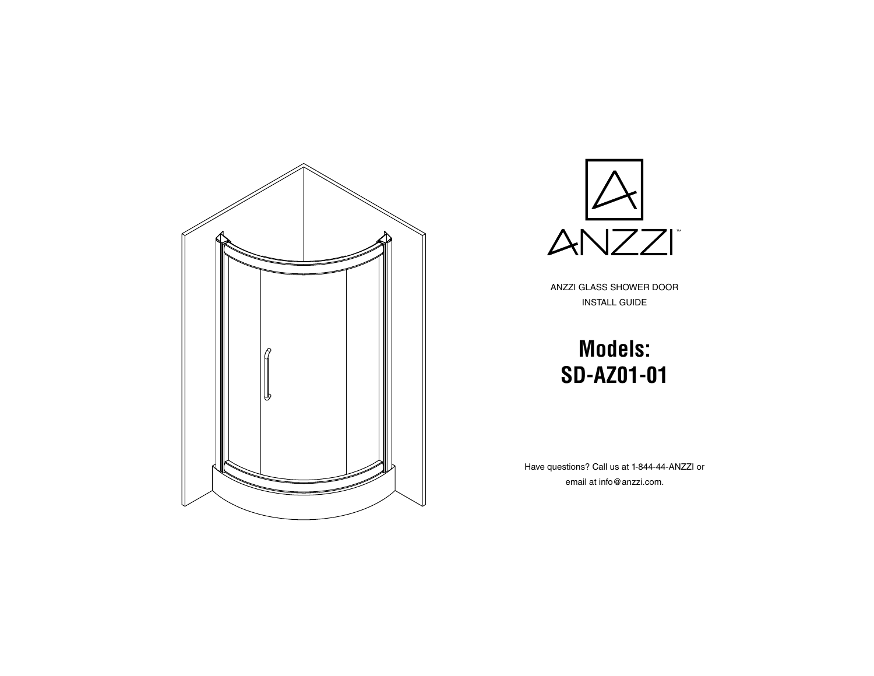



ANZZI GLASS SHOWER DOOR INSTALL GUIDE

# **Models: SD-AZ01-01**

Have questions? Call us at 1-844-44-ANZZI or email at info@anzzi.com.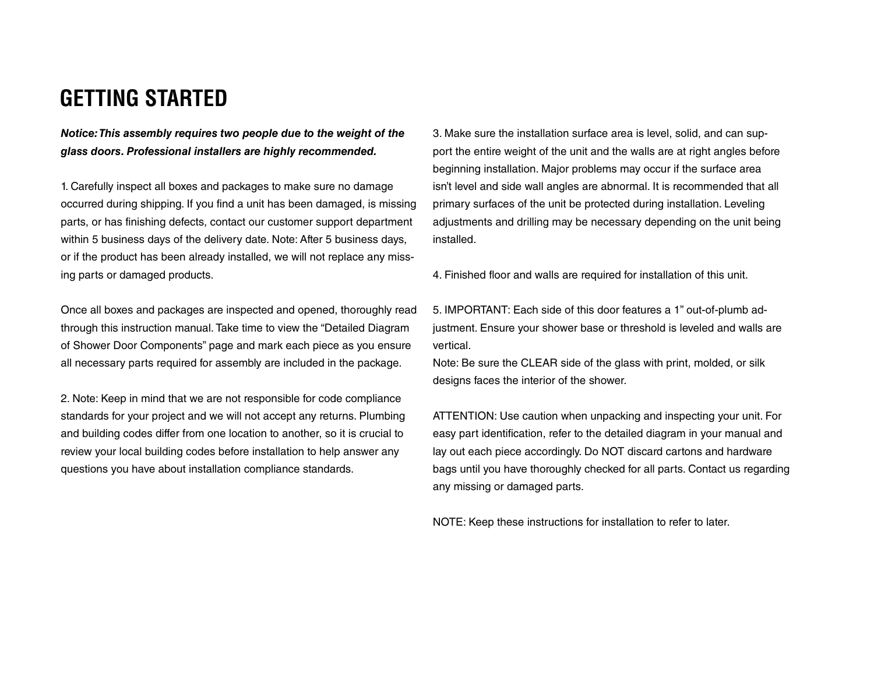#### **GETTING STARTED**

*Notice: This assembly requires two people due to the weight of the glass doors. Professional installers are highly recommended.*

1. Carefully inspect all boxes and packages to make sure no damage occurred during shipping. If you find a unit has been damaged, is missing parts, or has finishing defects, contact our customer support department within 5 business days of the delivery date. Note: After 5 business days, or if the product has been already installed, we will not replace any missing parts or damaged products.

Once all boxes and packages are inspected and opened, thoroughly read through this instruction manual. Take time to view the "Detailed Diagram of Shower Door Components" page and mark each piece as you ensure all necessary parts required for assembly are included in the package.

2. Note: Keep in mind that we are not responsible for code compliance standards for your project and we will not accept any returns. Plumbing and building codes differ from one location to another, so it is crucial to review your local building codes before installation to help answer any questions you have about installation compliance standards.

3. Make sure the installation surface area is level, solid, and can support the entire weight of the unit and the walls are at right angles before beginning installation. Major problems may occur if the surface area isn't level and side wall angles are abnormal. It is recommended that all primary surfaces of the unit be protected during installation. Leveling adjustments and drilling may be necessary depending on the unit being installed.

4. Finished floor and walls are required for installation of this unit.

5. IMPORTANT: Each side of this door features a 1" out-of-plumb adjustment. Ensure your shower base or threshold is leveled and walls are vertical.

Note: Be sure the CLEAR side of the glass with print, molded, or silk designs faces the interior of the shower.

ATTENTION: Use caution when unpacking and inspecting your unit. For easy part identification, refer to the detailed diagram in your manual and lay out each piece accordingly. Do NOT discard cartons and hardware bags until you have thoroughly checked for all parts. Contact us regarding any missing or damaged parts.

NOTE: Keep these instructions for installation to refer to later.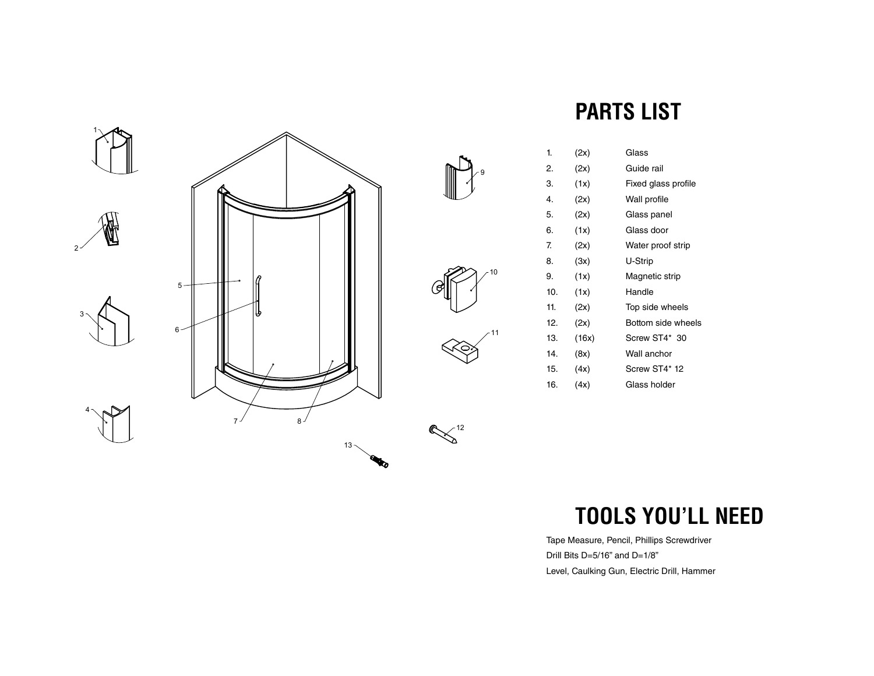



 $\left(\frac{12}{2}\right)$ 

## **PARTS LIST**

| 1.  | (2x)  | Glass               |
|-----|-------|---------------------|
| 2.  | (2x)  | Guide rail          |
| 3.  | (1x)  | Fixed glass profile |
| 4.  | (2x)  | Wall profile        |
| 5.  | (2x)  | Glass panel         |
| 6.  | (1x)  | Glass door          |
| 7.  | (2x)  | Water proof strip   |
| 8.  | (3x)  | U-Strip             |
| 9.  | (1x)  | Magnetic strip      |
| 10. | (1x)  | Handle              |
| 11. | (2x)  | Top side wheels     |
| 12. | (2x)  | Bottom side wheels  |
| 13. | (16x) | Screw ST4* 30       |
| 14. | (8x)  | Wall anchor         |
| 15. | (4x)  | Screw ST4* 12       |
| 16. | (4x)  | Glass holder        |

# **TOOLS YOU'LL NEED**

Tape Measure, Pencil, Phillips Screwdriver Drill Bits D=5/16" and D=1/8" Level, Caulking Gun, Electric Drill, Hammer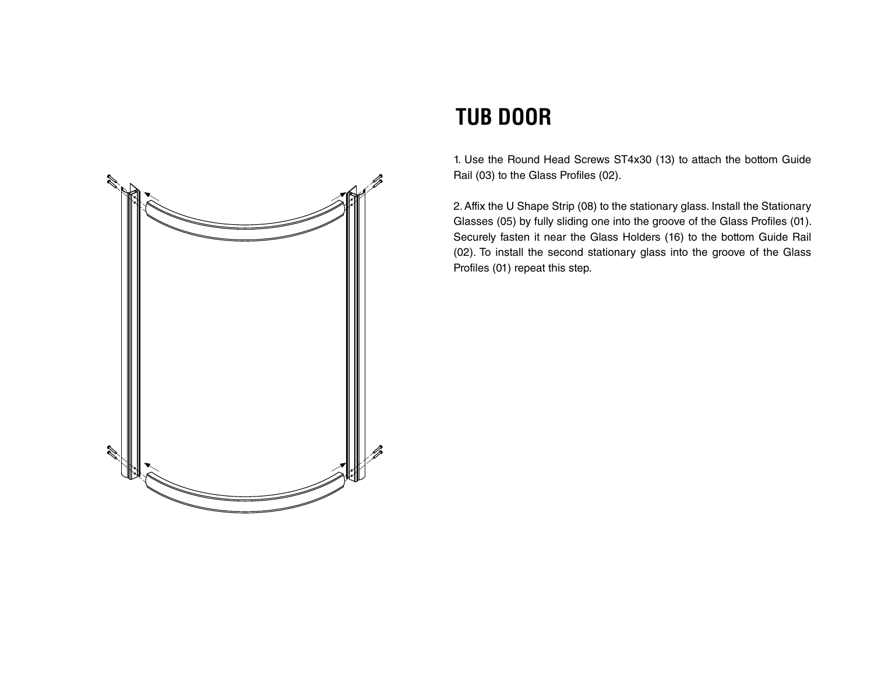

#### **TUB DOOR**

1. Use the Round Head Screws ST4x30 (13) to attach the bottom Guide Rail (03) to the Glass Profiles (02).

2. Affix the U Shape Strip (08) to the stationary glass. Install the Stationary Glasses (05) by fully sliding one into the groove of the Glass Profiles (01). Securely fasten it near the Glass Holders (16) to the bottom Guide Rail (02). To install the second stationary glass into the groove of the Glass Profiles (01) repeat this step.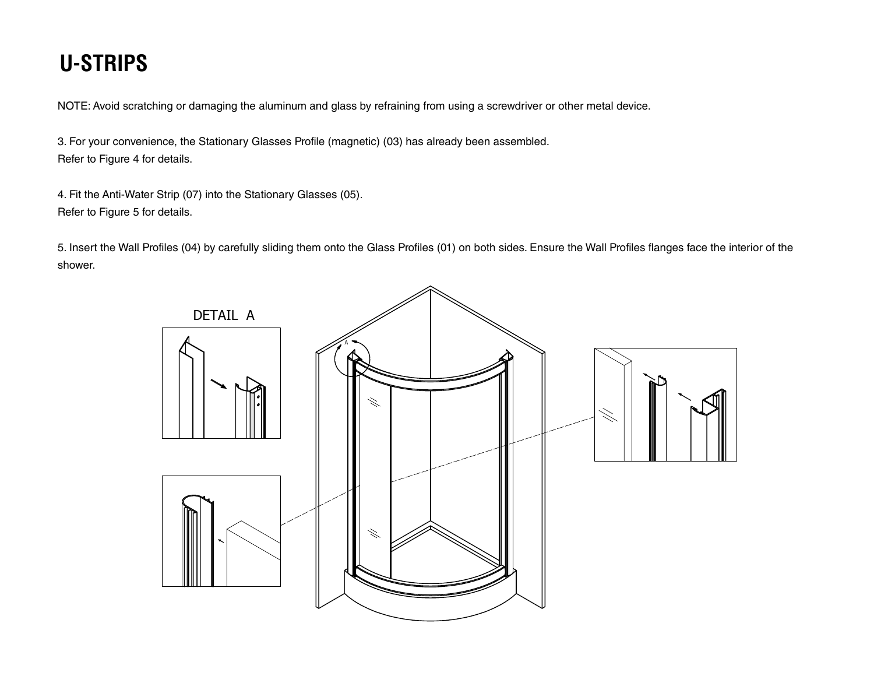# **U-STRIPS**

NOTE: Avoid scratching or damaging the aluminum and glass by refraining from using a screwdriver or other metal device.

3. For your convenience, the Stationary Glasses Profile (magnetic) (03) has already been assembled. Refer to Figure 4 for details.

4. Fit the Anti-Water Strip (07) into the Stationary Glasses (05). Refer to Figure 5 for details.

5. Insert the Wall Profiles (04) by carefully sliding them onto the Glass Profiles (01) on both sides. Ensure the Wall Profiles flanges face the interior of the shower.

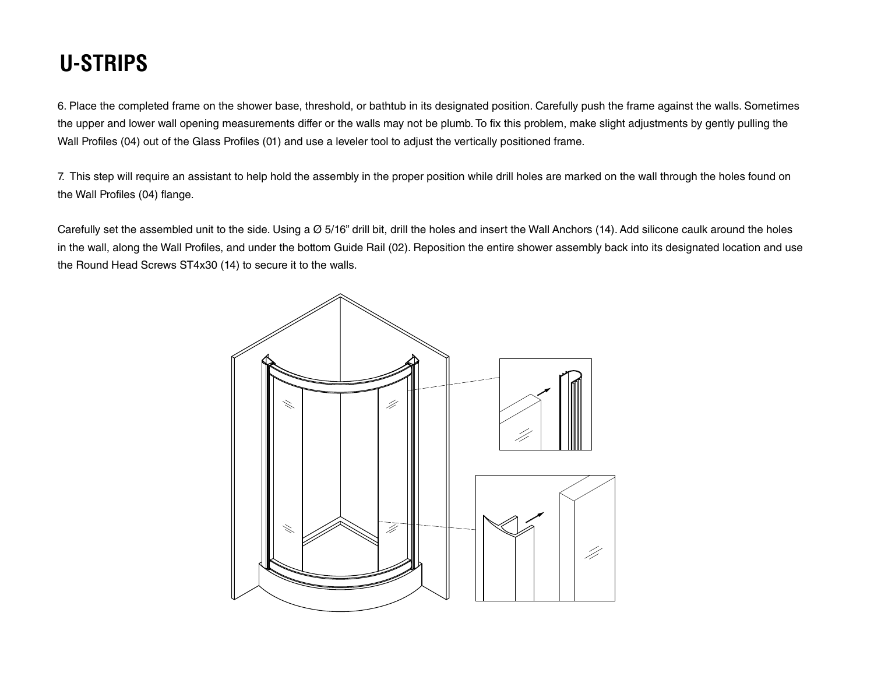## **U-STRIPS**

6. Place the completed frame on the shower base, threshold, or bathtub in its designated position. Carefully push the frame against the walls. Sometimes the upper and lower wall opening measurements differ or the walls may not be plumb. To fix this problem, make slight adjustments by gently pulling the Wall Profiles (04) out of the Glass Profiles (01) and use a leveler tool to adjust the vertically positioned frame.

7. This step will require an assistant to help hold the assembly in the proper position while drill holes are marked on the wall through the holes found on the Wall Profiles (04) flange.

Carefully set the assembled unit to the side. Using a Ø 5/16" drill bit, drill the holes and insert the Wall Anchors (14). Add silicone caulk around the holes in the wall, along the Wall Profiles, and under the bottom Guide Rail (02). Reposition the entire shower assembly back into its designated location and use the Round Head Screws ST4x30 (14) to secure it to the walls.

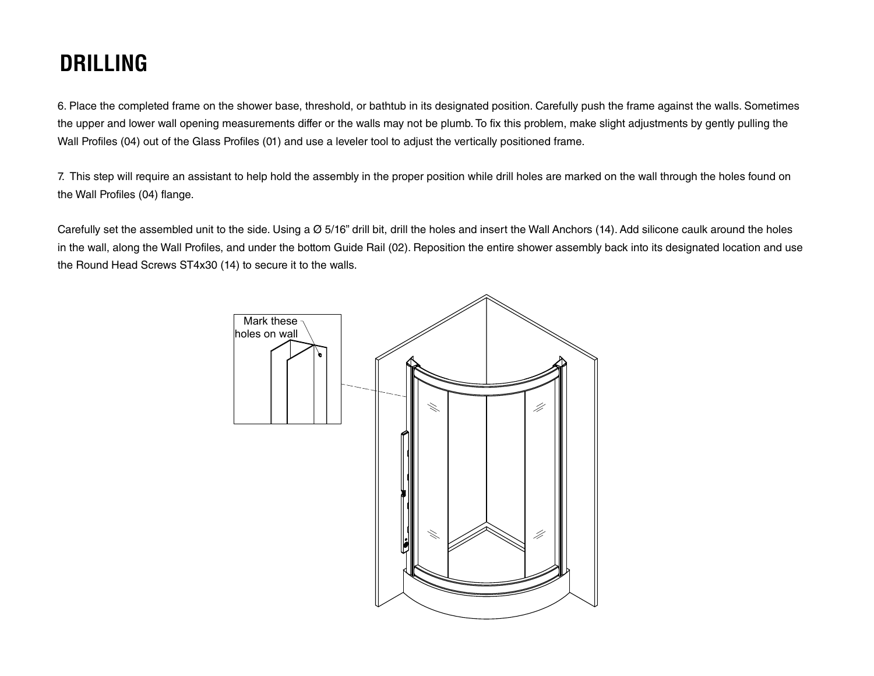### **DRILLING**

6. Place the completed frame on the shower base, threshold, or bathtub in its designated position. Carefully push the frame against the walls. Sometimes the upper and lower wall opening measurements differ or the walls may not be plumb. To fix this problem, make slight adjustments by gently pulling the Wall Profiles (04) out of the Glass Profiles (01) and use a leveler tool to adjust the vertically positioned frame.

7. This step will require an assistant to help hold the assembly in the proper position while drill holes are marked on the wall through the holes found on the Wall Profiles (04) flange.

Carefully set the assembled unit to the side. Using a Ø 5/16" drill bit, drill the holes and insert the Wall Anchors (14). Add silicone caulk around the holes in the wall, along the Wall Profiles, and under the bottom Guide Rail (02). Reposition the entire shower assembly back into its designated location and use the Round Head Screws ST4x30 (14) to secure it to the walls.

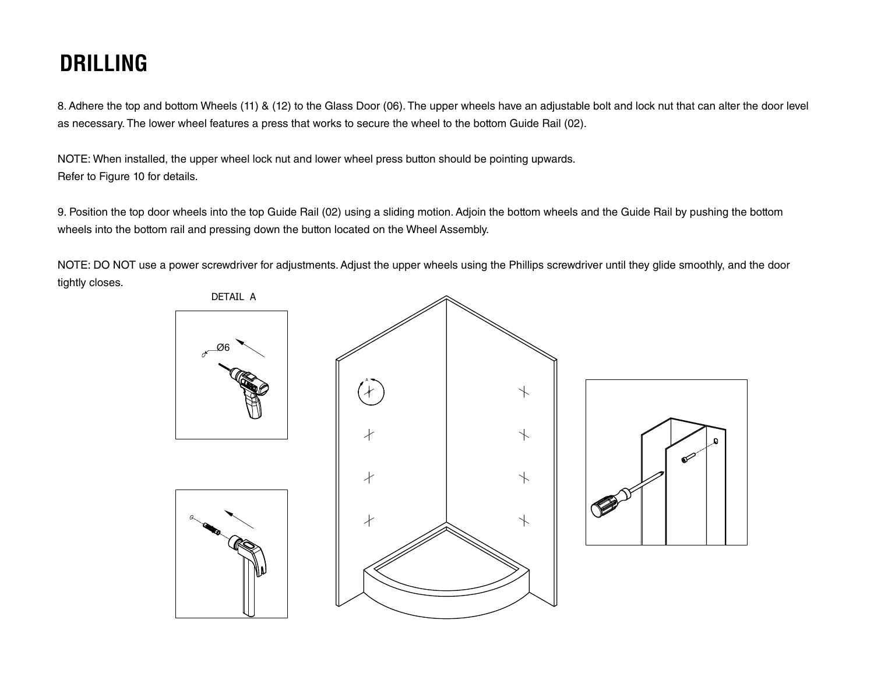## **DRILLING**

8. Adhere the top and bottom Wheels (11) & (12) to the Glass Door (06). The upper wheels have an adjustable bolt and lock nut that can alter the door level as necessary. The lower wheel features a press that works to secure the wheel to the bottom Guide Rail (02).

NOTE: When installed, the upper wheel lock nut and lower wheel press button should be pointing upwards. Refer to Figure 10 for details.

9. Position the top door wheels into the top Guide Rail (02) using a sliding motion. Adjoin the bottom wheels and the Guide Rail by pushing the bottom wheels into the bottom rail and pressing down the button located on the Wheel Assembly.

NOTE: DO NOT use a power screwdriver for adjustments. Adjust the upper wheels using the Phillips screwdriver until they glide smoothly, and the door tightly closes.

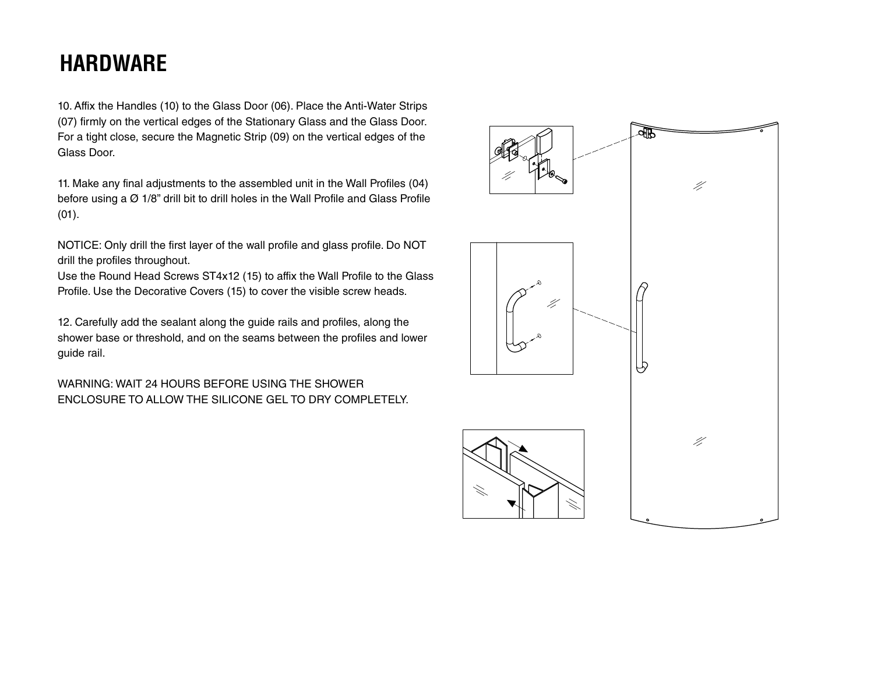### **HARDWARE**

10. Affix the Handles (10) to the Glass Door (06). Place the Anti-Water Strips (07) firmly on the vertical edges of the Stationary Glass and the Glass Door. For a tight close, secure the Magnetic Strip (09) on the vertical edges of the Glass Door.

11. Make any final adjustments to the assembled unit in the Wall Profiles (04) before using a Ø 1/8" drill bit to drill holes in the Wall Profile and Glass Profile (01).

NOTICE: Only drill the first layer of the wall profile and glass profile. Do NOT drill the profiles throughout.

Use the Round Head Screws ST4x12 (15) to affix the Wall Profile to the Glass Profile. Use the Decorative Covers (15) to cover the visible screw heads.

12. Carefully add the sealant along the guide rails and profiles, along the shower base or threshold, and on the seams between the profiles and lower guide rail.

WARNING: WAIT 24 HOURS BEFORE USING THE SHOWER ENCLOSURE TO ALLOW THE SILICONE GEL TO DRY COMPLETELY.